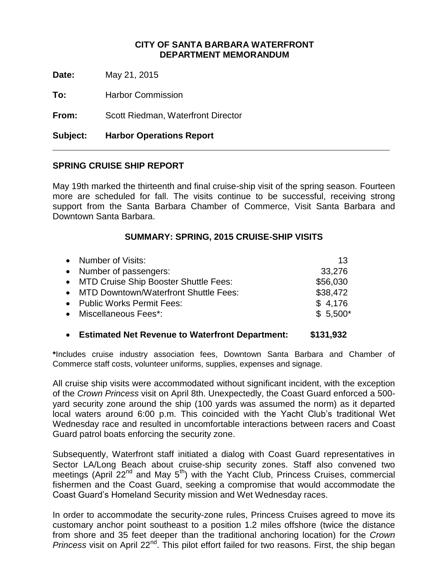## **CITY OF SANTA BARBARA WATERFRONT DEPARTMENT MEMORANDUM**

**Date:** May 21, 2015

**To:** Harbor Commission

**From:** Scott Riedman, Waterfront Director

**Subject: Harbor Operations Report**

## **SPRING CRUISE SHIP REPORT**

May 19th marked the thirteenth and final cruise-ship visit of the spring season. Fourteen more are scheduled for fall. The visits continue to be successful, receiving strong support from the Santa Barbara Chamber of Commerce, Visit Santa Barbara and Downtown Santa Barbara.

### **SUMMARY: SPRING, 2015 CRUISE-SHIP VISITS**

| • Number of Visits:                     | 13        |
|-----------------------------------------|-----------|
| • Number of passengers:                 | 33,276    |
| • MTD Cruise Ship Booster Shuttle Fees: | \$56,030  |
| • MTD Downtown/Waterfront Shuttle Fees: | \$38,472  |
| • Public Works Permit Fees:             | \$4,176   |
| • Miscellaneous Fees*:                  | $$5,500*$ |
|                                         |           |

#### **Estimated Net Revenue to Waterfront Department: \$131,932**

**\***Includes cruise industry association fees, Downtown Santa Barbara and Chamber of Commerce staff costs, volunteer uniforms, supplies, expenses and signage.

All cruise ship visits were accommodated without significant incident, with the exception of the *Crown Princess* visit on April 8th. Unexpectedly, the Coast Guard enforced a 500 yard security zone around the ship (100 yards was assumed the norm) as it departed local waters around 6:00 p.m. This coincided with the Yacht Club's traditional Wet Wednesday race and resulted in uncomfortable interactions between racers and Coast Guard patrol boats enforcing the security zone.

Subsequently, Waterfront staff initiated a dialog with Coast Guard representatives in Sector LA/Long Beach about cruise-ship security zones. Staff also convened two meetings (April 22<sup>nd</sup> and May 5<sup>th</sup>) with the Yacht Club, Princess Cruises, commercial fishermen and the Coast Guard, seeking a compromise that would accommodate the Coast Guard's Homeland Security mission and Wet Wednesday races.

In order to accommodate the security-zone rules, Princess Cruises agreed to move its customary anchor point southeast to a position 1.2 miles offshore (twice the distance from shore and 35 feet deeper than the traditional anchoring location) for the *Crown Princess* visit on April 22<sup>nd</sup>. This pilot effort failed for two reasons. First, the ship began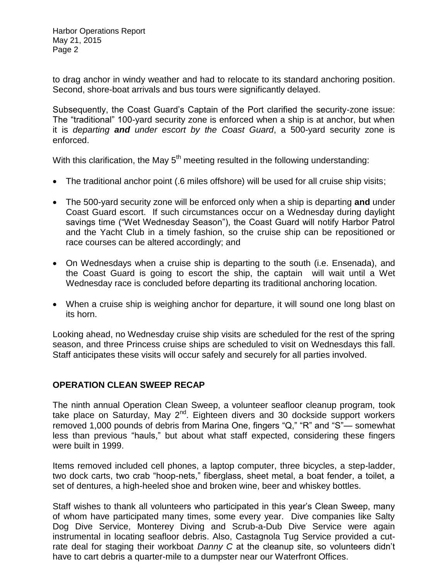to drag anchor in windy weather and had to relocate to its standard anchoring position. Second, shore-boat arrivals and bus tours were significantly delayed.

Subsequently, the Coast Guard's Captain of the Port clarified the security-zone issue: The "traditional" 100-yard security zone is enforced when a ship is at anchor, but when it is *departing and under escort by the Coast Guard*, a 500-yard security zone is enforced.

With this clarification, the May  $5<sup>th</sup>$  meeting resulted in the following understanding:

- The traditional anchor point (.6 miles offshore) will be used for all cruise ship visits;
- The 500-yard security zone will be enforced only when a ship is departing **and** under Coast Guard escort. If such circumstances occur on a Wednesday during daylight savings time ("Wet Wednesday Season"), the Coast Guard will notify Harbor Patrol and the Yacht Club in a timely fashion, so the cruise ship can be repositioned or race courses can be altered accordingly; and
- On Wednesdays when a cruise ship is departing to the south (i.e. Ensenada), and the Coast Guard is going to escort the ship, the captain will wait until a Wet Wednesday race is concluded before departing its traditional anchoring location.
- When a cruise ship is weighing anchor for departure, it will sound one long blast on its horn.

Looking ahead, no Wednesday cruise ship visits are scheduled for the rest of the spring season, and three Princess cruise ships are scheduled to visit on Wednesdays this fall. Staff anticipates these visits will occur safely and securely for all parties involved.

## **OPERATION CLEAN SWEEP RECAP**

The ninth annual Operation Clean Sweep, a volunteer seafloor cleanup program, took take place on Saturday, May 2<sup>nd</sup>. Eighteen divers and 30 dockside support workers removed 1,000 pounds of debris from Marina One, fingers "Q," "R" and "S"— somewhat less than previous "hauls," but about what staff expected, considering these fingers were built in 1999.

Items removed included cell phones, a laptop computer, three bicycles, a step-ladder, two dock carts, two crab "hoop-nets," fiberglass, sheet metal, a boat fender, a toilet, a set of dentures, a high-heeled shoe and broken wine, beer and whiskey bottles.

Staff wishes to thank all volunteers who participated in this year's Clean Sweep, many of whom have participated many times, some every year. Dive companies like Salty Dog Dive Service, Monterey Diving and Scrub-a-Dub Dive Service were again instrumental in locating seafloor debris. Also, Castagnola Tug Service provided a cutrate deal for staging their workboat *Danny C* at the cleanup site, so volunteers didn't have to cart debris a quarter-mile to a dumpster near our Waterfront Offices.